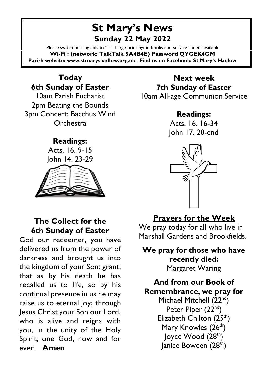# **St Mary's News Sunday 22 May 2022**

Please switch hearing aids to "T". Large print hymn books and service sheets available **Wi-Fi : (network: TalkTalk 5A4B4E) Password QYGEK4GM Parish website: [www.stmaryshadlow.org.uk](http://www.stmaryshadlow.org.uk/) Find us on Facebook: St Mary's Hadlow**

**Today 6th Sunday of Easter** 10am Parish Eucharist 2pm Beating the Bounds 3pm Concert: Bacchus Wind **Orchestra** 

#### **Readings:**

Acts. 16. 9-15 John 14. 23-29



### **The Collect for the 6th Sunday of Easter**

God our redeemer, you have delivered us from the power of darkness and brought us into the kingdom of your Son: grant, that as by his death he has recalled us to life, so by his continual presence in us he may raise us to eternal joy; through Jesus Christ your Son our Lord, who is alive and reigns with you, in the unity of the Holy Spirit, one God, now and for ever. **Amen**

**Next week 7th Sunday of Easter** 10am All-age Communion Service

### **Readings:**

Acts. 16. 16-34 John 17. 20-end



## **Prayers for the Week**

We pray today for all who live in Marshall Gardens and Brookfields.

**We pray for those who have recently died:** Margaret Waring

**And from our Book of Remembrance, we pray for** Michael Mitchell (22<sup>nd</sup>) Peter Piper (22<sup>nd</sup>) Elizabeth Chilton (25<sup>th</sup>) Mary Knowles (26<sup>th</sup>)  $\vert$ oyce Wood  $(28<sup>th</sup>)$ Janice Bowden (28<sup>th</sup>)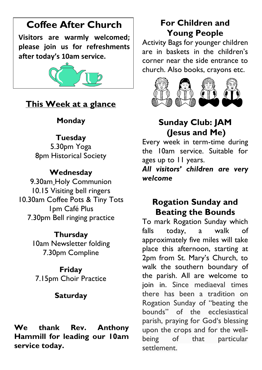# **Coffee After Church**

**Visitors are warmly welcomed; please join us for refreshments after today's 10am service.**



# **This Week at a glance**

# **Monday**

## **Tuesday**

5.30pm Yoga 8pm Historical Society

## **Wednesday**

9.30am Holy Communion 10.15 Visiting bell ringers 10.30am Coffee Pots & Tiny Tots 1pm Café Plus 7.30pm Bell ringing practice

### **Thursday**

10am Newsletter folding 7.30pm Compline

**Friday** 7.15pm Choir Practice

# **Saturday**

**We thank Rev. Anthony Hammill for leading our 10am service today.** 

# **For Children and Young People**

Activity Bags for younger children are in baskets in the children's corner near the side entrance to church. Also books, crayons etc.



# **Sunday Club: JAM (Jesus and Me)**

Every week in term-time during the 10am service. Suitable for ages up to 11 years.

*All visitors' children are very welcome*

# **Rogation Sunday and Beating the Bounds**

To mark Rogation Sunday which falls today, a walk of approximately five miles will take place this afternoon, starting at 2pm from St. Mary's Church, to walk the southern boundary of the parish. All are welcome to join in. Since mediaeval times there has been a tradition on Rogation Sunday of "beating the bounds" of the ecclesiastical parish, praying for God's blessing upon the crops and for the wellbeing of that particular settlement.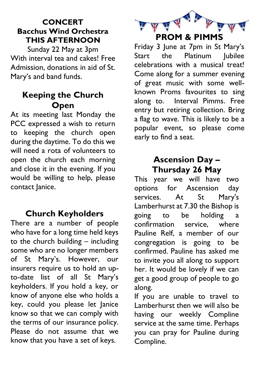### **CONCERT Bacchus Wind Orchestra THIS AFTERNOON**

Sunday 22 May at 3pm With interval tea and cakes! Free Admission, donations in aid of St. Mary's and band funds.

## **Keeping the Church Open**

At its meeting last Monday the PCC expressed a wish to return to keeping the church open during the daytime. To do this we will need a rota of volunteers to open the church each morning and close it in the evening. If you would be willing to help, please contact Janice.

## **Church Keyholders**

There are a number of people who have for a long time held keys to the church building – including some who are no longer members of St Mary's. However, our insurers require us to hold an upto-date list of all St Mary's keyholders. If you hold a key, or know of anyone else who holds a key, could you please let Janice know so that we can comply with the terms of our insurance policy. Please do not assume that we know that you have a set of keys.



Friday 3 June at 7pm in St Mary's Start the Platinum lubilee celebrations with a musical treat! Come along for a summer evening of great music with some wellknown Proms favourites to sing along to. Interval Pimms. Free entry but retiring collection. Bring a flag to wave. This is likely to be a popular event, so please come early to find a seat.

# **Ascension Day – Thursday 26 May**

This year we will have two options for Ascension day services. At St Mary's Lamberhurst at 7.30 the Bishop is going to be holding a confirmation service, where Pauline Relf, a member of our congregation is going to be confirmed. Pauline has asked me to invite you all along to support her. It would be lovely if we can get a good group of people to go along.

If you are unable to travel to Lamberhurst then we will also be having our weekly Compline service at the same time. Perhaps you can pray for Pauline during Compline.